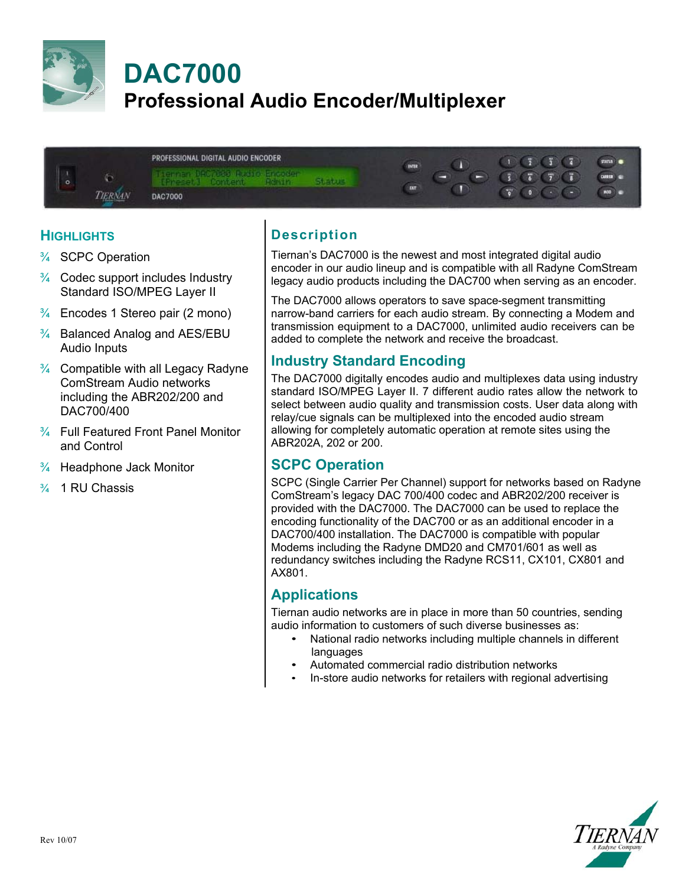



### **HIGHLIGHTS**

- ¾ SCPC Operation
- $\frac{3}{4}$  Codec support includes Industry Standard ISO/MPEG Layer II
- $\frac{3}{4}$  Encodes 1 Stereo pair (2 mono)
- $\frac{3}{4}$  Balanced Analog and AES/EBU Audio Inputs
- $\frac{3}{4}$  Compatible with all Legacy Radyne ComStream Audio networks including the ABR202/200 and DAC700/400
- $\frac{3}{4}$  Full Featured Front Panel Monitor and Control
- $\frac{3}{4}$  Headphone Jack Monitor
- ¾ 1 RU Chassis

# **Description**

Tiernan's DAC7000 is the newest and most integrated digital audio encoder in our audio lineup and is compatible with all Radyne ComStream legacy audio products including the DAC700 when serving as an encoder.

The DAC7000 allows operators to save space-segment transmitting narrow-band carriers for each audio stream. By connecting a Modem and transmission equipment to a DAC7000, unlimited audio receivers can be added to complete the network and receive the broadcast.

#### **Industry Standard Encoding**

The DAC7000 digitally encodes audio and multiplexes data using industry standard ISO/MPEG Layer II. 7 different audio rates allow the network to select between audio quality and transmission costs. User data along with relay/cue signals can be multiplexed into the encoded audio stream allowing for completely automatic operation at remote sites using the ABR202A, 202 or 200.

#### **SCPC Operation**

SCPC (Single Carrier Per Channel) support for networks based on Radyne ComStream's legacy DAC 700/400 codec and ABR202/200 receiver is provided with the DAC7000. The DAC7000 can be used to replace the encoding functionality of the DAC700 or as an additional encoder in a DAC700/400 installation. The DAC7000 is compatible with popular Modems including the Radyne DMD20 and CM701/601 as well as redundancy switches including the Radyne RCS11, CX101, CX801 and AX801.

#### **Applications**

Tiernan audio networks are in place in more than 50 countries, sending audio information to customers of such diverse businesses as:

- National radio networks including multiple channels in different languages
- Automated commercial radio distribution networks
- In-store audio networks for retailers with regional advertising